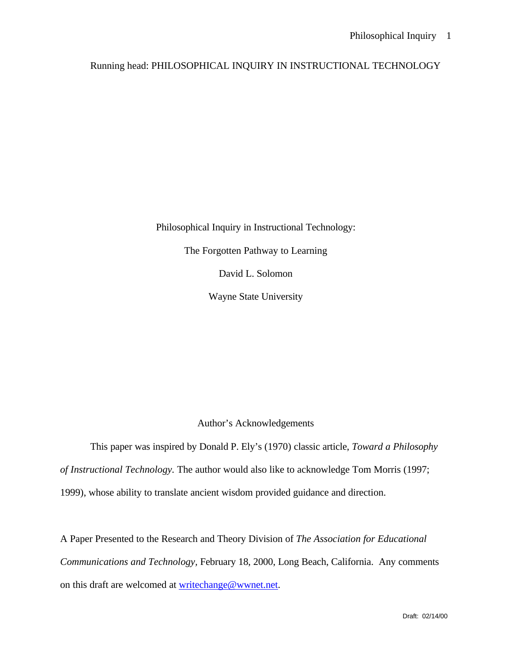# Running head: PHILOSOPHICAL INQUIRY IN INSTRUCTIONAL TECHNOLOGY

Philosophical Inquiry in Instructional Technology: The Forgotten Pathway to Learning David L. Solomon

Wayne State University

## Author's Acknowledgements

This paper was inspired by Donald P. Ely's (1970) classic article, *Toward a Philosophy of Instructional Technology.* The author would also like to acknowledge Tom Morris (1997; 1999), whose ability to translate ancient wisdom provided guidance and direction.

A Paper Presented to the Research and Theory Division of *The Association for Educational Communications and Technology,* February 18, 2000, Long Beach, California. Any comments on this draft are welcomed at writechange@wwnet.net.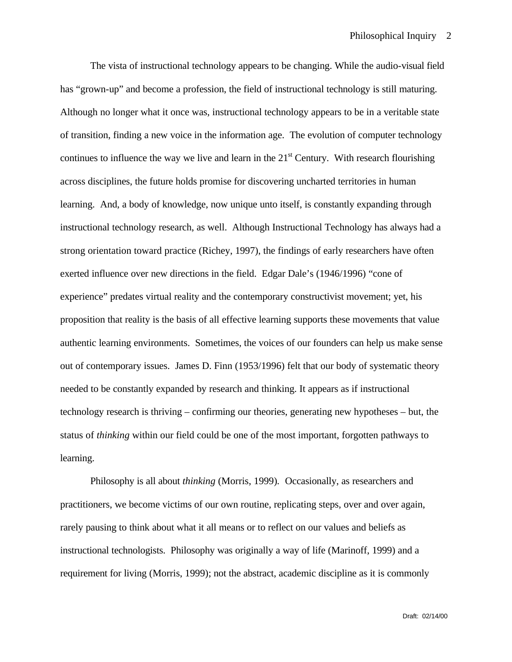The vista of instructional technology appears to be changing. While the audio-visual field has "grown-up" and become a profession, the field of instructional technology is still maturing. Although no longer what it once was, instructional technology appears to be in a veritable state of transition, finding a new voice in the information age. The evolution of computer technology continues to influence the way we live and learn in the  $21<sup>st</sup>$  Century. With research flourishing across disciplines, the future holds promise for discovering uncharted territories in human learning. And, a body of knowledge, now unique unto itself, is constantly expanding through instructional technology research, as well. Although Instructional Technology has always had a strong orientation toward practice (Richey, 1997), the findings of early researchers have often exerted influence over new directions in the field. Edgar Dale's (1946/1996) "cone of experience" predates virtual reality and the contemporary constructivist movement; yet, his proposition that reality is the basis of all effective learning supports these movements that value authentic learning environments. Sometimes, the voices of our founders can help us make sense out of contemporary issues. James D. Finn (1953/1996) felt that our body of systematic theory needed to be constantly expanded by research and thinking. It appears as if instructional technology research is thriving – confirming our theories, generating new hypotheses – but, the status of *thinking* within our field could be one of the most important, forgotten pathways to learning.

Philosophy is all about *thinking* (Morris, 1999)*.* Occasionally, as researchers and practitioners, we become victims of our own routine, replicating steps, over and over again, rarely pausing to think about what it all means or to reflect on our values and beliefs as instructional technologists. Philosophy was originally a way of life (Marinoff, 1999) and a requirement for living (Morris, 1999); not the abstract, academic discipline as it is commonly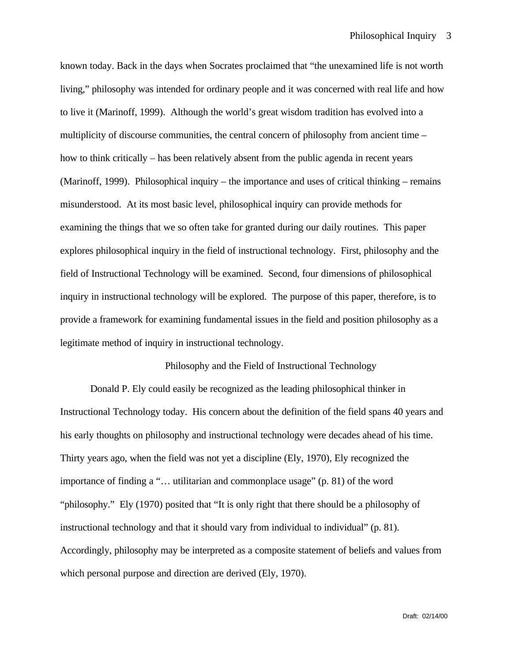known today. Back in the days when Socrates proclaimed that "the unexamined life is not worth living," philosophy was intended for ordinary people and it was concerned with real life and how to live it (Marinoff, 1999). Although the world's great wisdom tradition has evolved into a multiplicity of discourse communities, the central concern of philosophy from ancient time – how to think critically – has been relatively absent from the public agenda in recent years (Marinoff, 1999). Philosophical inquiry – the importance and uses of critical thinking – remains misunderstood. At its most basic level, philosophical inquiry can provide methods for examining the things that we so often take for granted during our daily routines. This paper explores philosophical inquiry in the field of instructional technology. First, philosophy and the field of Instructional Technology will be examined. Second, four dimensions of philosophical inquiry in instructional technology will be explored. The purpose of this paper, therefore, is to provide a framework for examining fundamental issues in the field and position philosophy as a legitimate method of inquiry in instructional technology.

## Philosophy and the Field of Instructional Technology

Donald P. Ely could easily be recognized as the leading philosophical thinker in Instructional Technology today. His concern about the definition of the field spans 40 years and his early thoughts on philosophy and instructional technology were decades ahead of his time. Thirty years ago, when the field was not yet a discipline (Ely, 1970), Ely recognized the importance of finding a "… utilitarian and commonplace usage" (p. 81) of the word "philosophy." Ely (1970) posited that "It is only right that there should be a philosophy of instructional technology and that it should vary from individual to individual" (p. 81). Accordingly, philosophy may be interpreted as a composite statement of beliefs and values from which personal purpose and direction are derived (Ely, 1970).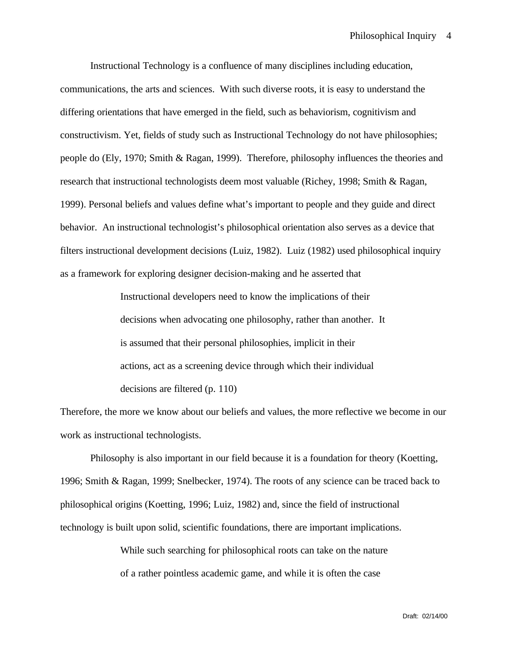Instructional Technology is a confluence of many disciplines including education, communications, the arts and sciences. With such diverse roots, it is easy to understand the differing orientations that have emerged in the field, such as behaviorism, cognitivism and constructivism. Yet, fields of study such as Instructional Technology do not have philosophies; people do (Ely, 1970; Smith & Ragan, 1999). Therefore, philosophy influences the theories and research that instructional technologists deem most valuable (Richey, 1998; Smith & Ragan, 1999). Personal beliefs and values define what's important to people and they guide and direct behavior. An instructional technologist's philosophical orientation also serves as a device that filters instructional development decisions (Luiz, 1982). Luiz (1982) used philosophical inquiry as a framework for exploring designer decision-making and he asserted that

> Instructional developers need to know the implications of their decisions when advocating one philosophy, rather than another. It is assumed that their personal philosophies, implicit in their actions, act as a screening device through which their individual decisions are filtered (p. 110)

Therefore, the more we know about our beliefs and values, the more reflective we become in our work as instructional technologists.

Philosophy is also important in our field because it is a foundation for theory (Koetting, 1996; Smith & Ragan, 1999; Snelbecker, 1974). The roots of any science can be traced back to philosophical origins (Koetting, 1996; Luiz, 1982) and, since the field of instructional technology is built upon solid, scientific foundations, there are important implications.

> While such searching for philosophical roots can take on the nature of a rather pointless academic game, and while it is often the case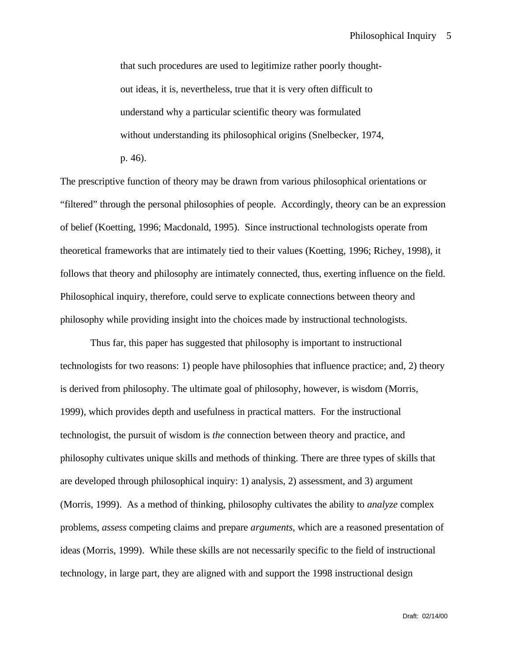that such procedures are used to legitimize rather poorly thoughtout ideas, it is, nevertheless, true that it is very often difficult to understand why a particular scientific theory was formulated without understanding its philosophical origins (Snelbecker, 1974, p. 46).

The prescriptive function of theory may be drawn from various philosophical orientations or "filtered" through the personal philosophies of people. Accordingly, theory can be an expression of belief (Koetting, 1996; Macdonald, 1995). Since instructional technologists operate from theoretical frameworks that are intimately tied to their values (Koetting, 1996; Richey, 1998), it follows that theory and philosophy are intimately connected, thus, exerting influence on the field. Philosophical inquiry, therefore, could serve to explicate connections between theory and philosophy while providing insight into the choices made by instructional technologists.

Thus far, this paper has suggested that philosophy is important to instructional technologists for two reasons: 1) people have philosophies that influence practice; and, 2) theory is derived from philosophy. The ultimate goal of philosophy, however, is wisdom (Morris, 1999), which provides depth and usefulness in practical matters. For the instructional technologist, the pursuit of wisdom is *the* connection between theory and practice, and philosophy cultivates unique skills and methods of thinking. There are three types of skills that are developed through philosophical inquiry: 1) analysis, 2) assessment, and 3) argument (Morris, 1999). As a method of thinking, philosophy cultivates the ability to *analyze* complex problems, *assess* competing claims and prepare *arguments*, which are a reasoned presentation of ideas (Morris, 1999). While these skills are not necessarily specific to the field of instructional technology, in large part, they are aligned with and support the 1998 instructional design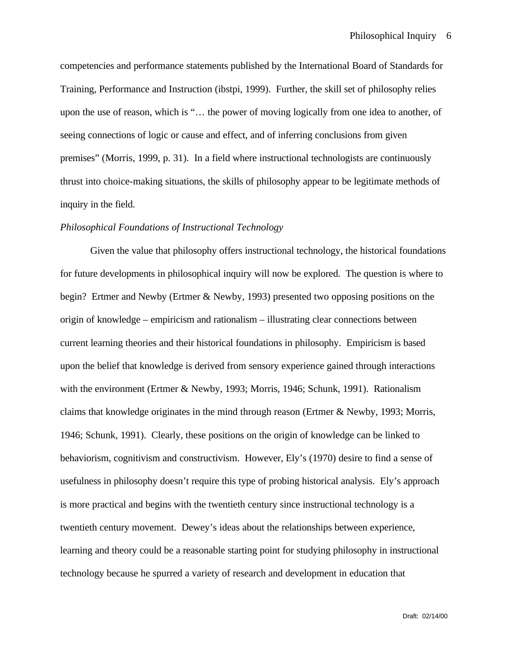competencies and performance statements published by the International Board of Standards for Training, Performance and Instruction (ibstpi, 1999). Further, the skill set of philosophy relies upon the use of reason, which is "… the power of moving logically from one idea to another, of seeing connections of logic or cause and effect, and of inferring conclusions from given premises" (Morris, 1999, p. 31). In a field where instructional technologists are continuously thrust into choice-making situations, the skills of philosophy appear to be legitimate methods of inquiry in the field.

### *Philosophical Foundations of Instructional Technology*

Given the value that philosophy offers instructional technology, the historical foundations for future developments in philosophical inquiry will now be explored. The question is where to begin? Ertmer and Newby (Ertmer & Newby, 1993) presented two opposing positions on the origin of knowledge – empiricism and rationalism – illustrating clear connections between current learning theories and their historical foundations in philosophy. Empiricism is based upon the belief that knowledge is derived from sensory experience gained through interactions with the environment (Ertmer & Newby, 1993; Morris, 1946; Schunk, 1991). Rationalism claims that knowledge originates in the mind through reason (Ertmer & Newby, 1993; Morris, 1946; Schunk, 1991). Clearly, these positions on the origin of knowledge can be linked to behaviorism, cognitivism and constructivism. However, Ely's (1970) desire to find a sense of usefulness in philosophy doesn't require this type of probing historical analysis. Ely's approach is more practical and begins with the twentieth century since instructional technology is a twentieth century movement. Dewey's ideas about the relationships between experience, learning and theory could be a reasonable starting point for studying philosophy in instructional technology because he spurred a variety of research and development in education that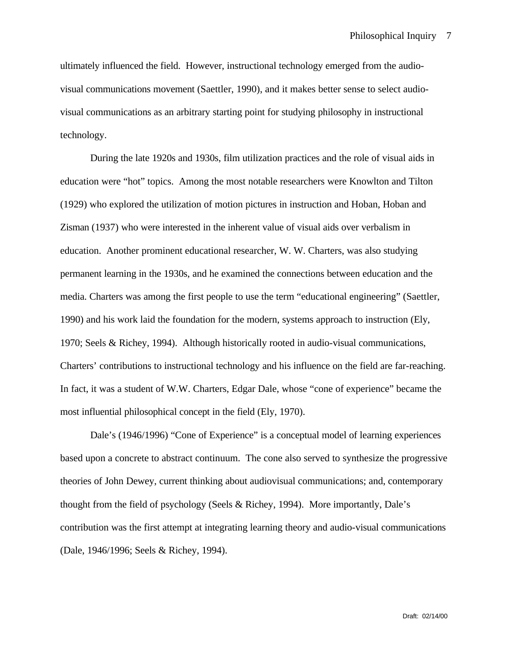ultimately influenced the field. However, instructional technology emerged from the audiovisual communications movement (Saettler, 1990), and it makes better sense to select audiovisual communications as an arbitrary starting point for studying philosophy in instructional technology.

During the late 1920s and 1930s, film utilization practices and the role of visual aids in education were "hot" topics. Among the most notable researchers were Knowlton and Tilton (1929) who explored the utilization of motion pictures in instruction and Hoban, Hoban and Zisman (1937) who were interested in the inherent value of visual aids over verbalism in education. Another prominent educational researcher, W. W. Charters, was also studying permanent learning in the 1930s, and he examined the connections between education and the media. Charters was among the first people to use the term "educational engineering" (Saettler, 1990) and his work laid the foundation for the modern, systems approach to instruction (Ely, 1970; Seels & Richey, 1994). Although historically rooted in audio-visual communications, Charters' contributions to instructional technology and his influence on the field are far-reaching. In fact, it was a student of W.W. Charters, Edgar Dale, whose "cone of experience" became the most influential philosophical concept in the field (Ely, 1970).

Dale's (1946/1996) "Cone of Experience" is a conceptual model of learning experiences based upon a concrete to abstract continuum. The cone also served to synthesize the progressive theories of John Dewey, current thinking about audiovisual communications; and, contemporary thought from the field of psychology (Seels & Richey, 1994). More importantly, Dale's contribution was the first attempt at integrating learning theory and audio-visual communications (Dale, 1946/1996; Seels & Richey, 1994).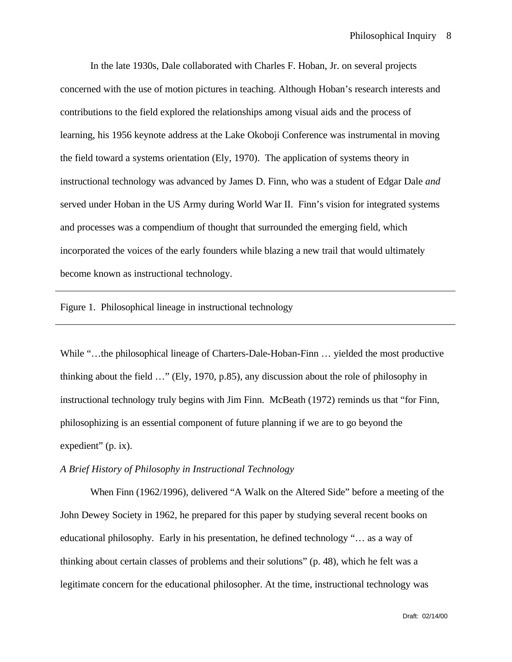In the late 1930s, Dale collaborated with Charles F. Hoban, Jr. on several projects concerned with the use of motion pictures in teaching. Although Hoban's research interests and contributions to the field explored the relationships among visual aids and the process of learning, his 1956 keynote address at the Lake Okoboji Conference was instrumental in moving the field toward a systems orientation (Ely, 1970). The application of systems theory in instructional technology was advanced by James D. Finn, who was a student of Edgar Dale *and* served under Hoban in the US Army during World War II. Finn's vision for integrated systems and processes was a compendium of thought that surrounded the emerging field, which incorporated the voices of the early founders while blazing a new trail that would ultimately become known as instructional technology.

Figure 1. Philosophical lineage in instructional technology

While "…the philosophical lineage of Charters-Dale-Hoban-Finn … yielded the most productive thinking about the field …" (Ely, 1970, p.85), any discussion about the role of philosophy in instructional technology truly begins with Jim Finn. McBeath (1972) reminds us that "for Finn, philosophizing is an essential component of future planning if we are to go beyond the expedient" (p. ix).

### *A Brief History of Philosophy in Instructional Technology*

When Finn (1962/1996), delivered "A Walk on the Altered Side" before a meeting of the John Dewey Society in 1962, he prepared for this paper by studying several recent books on educational philosophy. Early in his presentation, he defined technology "… as a way of thinking about certain classes of problems and their solutions" (p. 48), which he felt was a legitimate concern for the educational philosopher. At the time, instructional technology was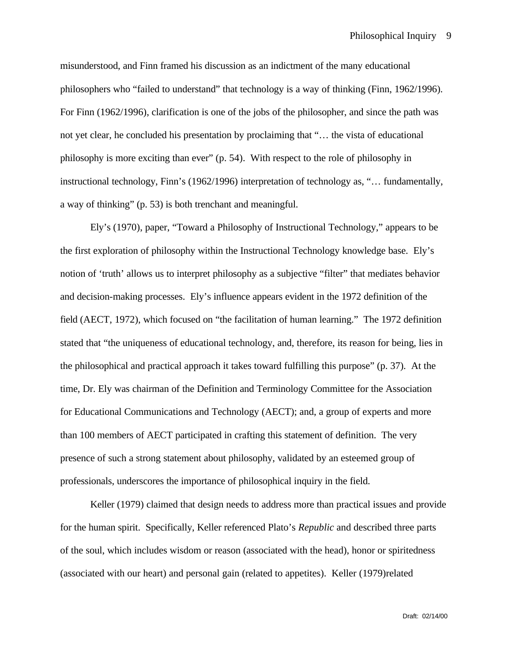misunderstood, and Finn framed his discussion as an indictment of the many educational philosophers who "failed to understand" that technology is a way of thinking (Finn, 1962/1996). For Finn (1962/1996), clarification is one of the jobs of the philosopher, and since the path was not yet clear, he concluded his presentation by proclaiming that "… the vista of educational philosophy is more exciting than ever" (p. 54). With respect to the role of philosophy in instructional technology, Finn's (1962/1996) interpretation of technology as, "… fundamentally, a way of thinking" (p. 53) is both trenchant and meaningful.

Ely's (1970), paper, "Toward a Philosophy of Instructional Technology," appears to be the first exploration of philosophy within the Instructional Technology knowledge base. Ely's notion of 'truth' allows us to interpret philosophy as a subjective "filter" that mediates behavior and decision-making processes. Ely's influence appears evident in the 1972 definition of the field (AECT, 1972), which focused on "the facilitation of human learning." The 1972 definition stated that "the uniqueness of educational technology, and, therefore, its reason for being, lies in the philosophical and practical approach it takes toward fulfilling this purpose" (p. 37). At the time, Dr. Ely was chairman of the Definition and Terminology Committee for the Association for Educational Communications and Technology (AECT); and, a group of experts and more than 100 members of AECT participated in crafting this statement of definition. The very presence of such a strong statement about philosophy, validated by an esteemed group of professionals, underscores the importance of philosophical inquiry in the field.

Keller (1979) claimed that design needs to address more than practical issues and provide for the human spirit. Specifically, Keller referenced Plato's *Republic* and described three parts of the soul, which includes wisdom or reason (associated with the head), honor or spiritedness (associated with our heart) and personal gain (related to appetites). Keller (1979)related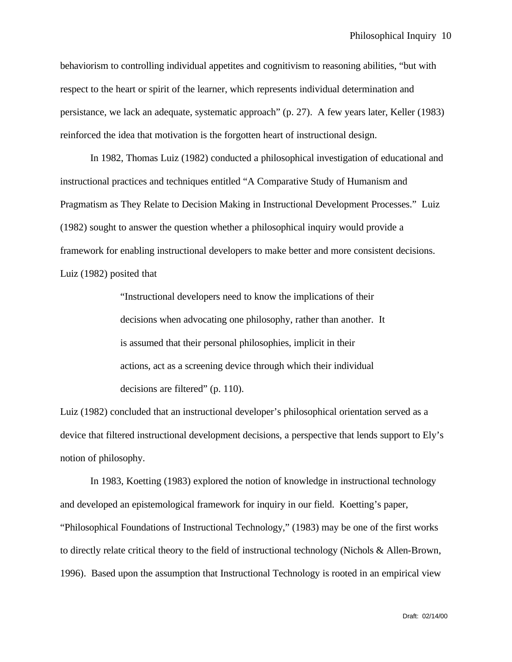behaviorism to controlling individual appetites and cognitivism to reasoning abilities, "but with respect to the heart or spirit of the learner, which represents individual determination and persistance, we lack an adequate, systematic approach" (p. 27). A few years later, Keller (1983) reinforced the idea that motivation is the forgotten heart of instructional design.

In 1982, Thomas Luiz (1982) conducted a philosophical investigation of educational and instructional practices and techniques entitled "A Comparative Study of Humanism and Pragmatism as They Relate to Decision Making in Instructional Development Processes." Luiz (1982) sought to answer the question whether a philosophical inquiry would provide a framework for enabling instructional developers to make better and more consistent decisions. Luiz (1982) posited that

> "Instructional developers need to know the implications of their decisions when advocating one philosophy, rather than another. It is assumed that their personal philosophies, implicit in their actions, act as a screening device through which their individual decisions are filtered" (p. 110).

Luiz (1982) concluded that an instructional developer's philosophical orientation served as a device that filtered instructional development decisions, a perspective that lends support to Ely's notion of philosophy.

In 1983, Koetting (1983) explored the notion of knowledge in instructional technology and developed an epistemological framework for inquiry in our field. Koetting's paper, "Philosophical Foundations of Instructional Technology," (1983) may be one of the first works to directly relate critical theory to the field of instructional technology (Nichols & Allen-Brown, 1996). Based upon the assumption that Instructional Technology is rooted in an empirical view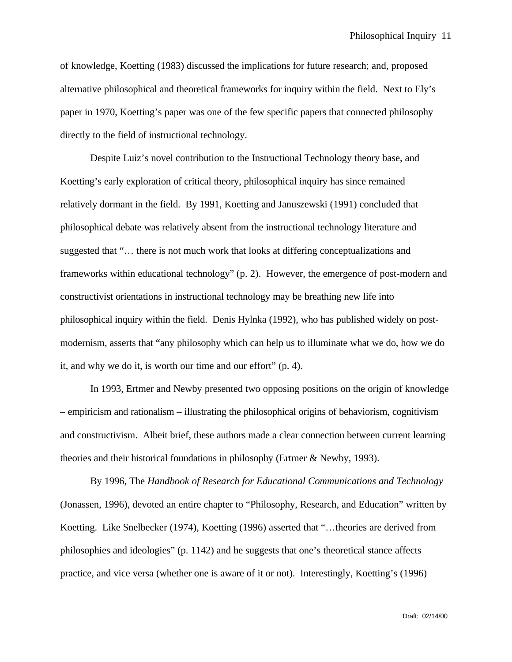of knowledge, Koetting (1983) discussed the implications for future research; and, proposed alternative philosophical and theoretical frameworks for inquiry within the field. Next to Ely's paper in 1970, Koetting's paper was one of the few specific papers that connected philosophy directly to the field of instructional technology.

Despite Luiz's novel contribution to the Instructional Technology theory base, and Koetting's early exploration of critical theory, philosophical inquiry has since remained relatively dormant in the field. By 1991, Koetting and Januszewski (1991) concluded that philosophical debate was relatively absent from the instructional technology literature and suggested that "… there is not much work that looks at differing conceptualizations and frameworks within educational technology" (p. 2). However, the emergence of post-modern and constructivist orientations in instructional technology may be breathing new life into philosophical inquiry within the field. Denis Hylnka (1992), who has published widely on postmodernism, asserts that "any philosophy which can help us to illuminate what we do, how we do it, and why we do it, is worth our time and our effort" (p. 4).

In 1993, Ertmer and Newby presented two opposing positions on the origin of knowledge – empiricism and rationalism – illustrating the philosophical origins of behaviorism, cognitivism and constructivism. Albeit brief, these authors made a clear connection between current learning theories and their historical foundations in philosophy (Ertmer & Newby, 1993).

By 1996, The *Handbook of Research for Educational Communications and Technology*  (Jonassen, 1996), devoted an entire chapter to "Philosophy, Research, and Education" written by Koetting. Like Snelbecker (1974), Koetting (1996) asserted that "…theories are derived from philosophies and ideologies" (p. 1142) and he suggests that one's theoretical stance affects practice, and vice versa (whether one is aware of it or not). Interestingly, Koetting's (1996)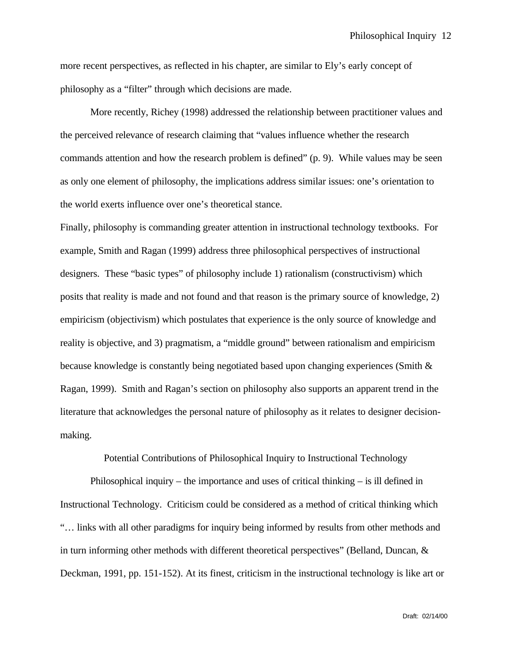more recent perspectives, as reflected in his chapter, are similar to Ely's early concept of philosophy as a "filter" through which decisions are made.

More recently, Richey (1998) addressed the relationship between practitioner values and the perceived relevance of research claiming that "values influence whether the research commands attention and how the research problem is defined" (p. 9). While values may be seen as only one element of philosophy, the implications address similar issues: one's orientation to the world exerts influence over one's theoretical stance.

Finally, philosophy is commanding greater attention in instructional technology textbooks. For example, Smith and Ragan (1999) address three philosophical perspectives of instructional designers. These "basic types" of philosophy include 1) rationalism (constructivism) which posits that reality is made and not found and that reason is the primary source of knowledge, 2) empiricism (objectivism) which postulates that experience is the only source of knowledge and reality is objective, and 3) pragmatism, a "middle ground" between rationalism and empiricism because knowledge is constantly being negotiated based upon changing experiences (Smith & Ragan, 1999). Smith and Ragan's section on philosophy also supports an apparent trend in the literature that acknowledges the personal nature of philosophy as it relates to designer decisionmaking.

Potential Contributions of Philosophical Inquiry to Instructional Technology

Philosophical inquiry – the importance and uses of critical thinking – is ill defined in Instructional Technology. Criticism could be considered as a method of critical thinking which "… links with all other paradigms for inquiry being informed by results from other methods and in turn informing other methods with different theoretical perspectives" (Belland, Duncan, & Deckman, 1991, pp. 151-152). At its finest, criticism in the instructional technology is like art or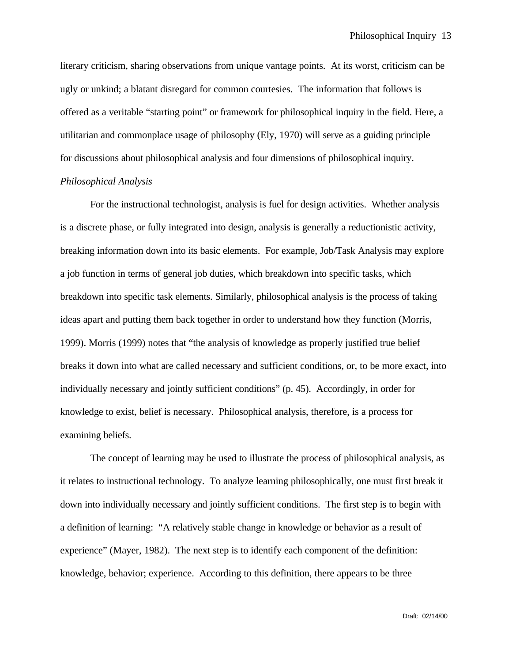literary criticism, sharing observations from unique vantage points. At its worst, criticism can be ugly or unkind; a blatant disregard for common courtesies. The information that follows is offered as a veritable "starting point" or framework for philosophical inquiry in the field. Here, a utilitarian and commonplace usage of philosophy (Ely, 1970) will serve as a guiding principle for discussions about philosophical analysis and four dimensions of philosophical inquiry. *Philosophical Analysis*

For the instructional technologist, analysis is fuel for design activities. Whether analysis is a discrete phase, or fully integrated into design, analysis is generally a reductionistic activity, breaking information down into its basic elements. For example, Job/Task Analysis may explore a job function in terms of general job duties, which breakdown into specific tasks, which breakdown into specific task elements. Similarly, philosophical analysis is the process of taking ideas apart and putting them back together in order to understand how they function (Morris, 1999). Morris (1999) notes that "the analysis of knowledge as properly justified true belief breaks it down into what are called necessary and sufficient conditions, or, to be more exact, into individually necessary and jointly sufficient conditions" (p. 45). Accordingly, in order for knowledge to exist, belief is necessary. Philosophical analysis, therefore, is a process for examining beliefs.

The concept of learning may be used to illustrate the process of philosophical analysis, as it relates to instructional technology. To analyze learning philosophically, one must first break it down into individually necessary and jointly sufficient conditions. The first step is to begin with a definition of learning: "A relatively stable change in knowledge or behavior as a result of experience" (Mayer, 1982). The next step is to identify each component of the definition: knowledge, behavior; experience. According to this definition, there appears to be three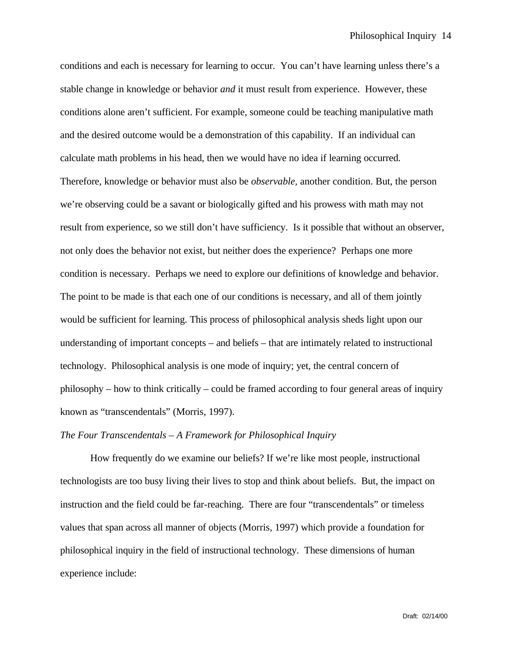conditions and each is necessary for learning to occur. You can't have learning unless there's a stable change in knowledge or behavior *and* it must result from experience. However, these conditions alone aren't sufficient. For example, someone could be teaching manipulative math and the desired outcome would be a demonstration of this capability. If an individual can calculate math problems in his head, then we would have no idea if learning occurred. Therefore, knowledge or behavior must also be *observable,* another condition. But, the person we're observing could be a savant or biologically gifted and his prowess with math may not result from experience, so we still don't have sufficiency. Is it possible that without an observer, not only does the behavior not exist, but neither does the experience? Perhaps one more condition is necessary. Perhaps we need to explore our definitions of knowledge and behavior. The point to be made is that each one of our conditions is necessary, and all of them jointly would be sufficient for learning. This process of philosophical analysis sheds light upon our understanding of important concepts – and beliefs – that are intimately related to instructional technology. Philosophical analysis is one mode of inquiry; yet, the central concern of philosophy – how to think critically – could be framed according to four general areas of inquiry known as "transcendentals" (Morris, 1997).

#### *The Four Transcendentals – A Framework for Philosophical Inquiry*

How frequently do we examine our beliefs? If we're like most people, instructional technologists are too busy living their lives to stop and think about beliefs. But, the impact on instruction and the field could be far-reaching. There are four "transcendentals" or timeless values that span across all manner of objects (Morris, 1997) which provide a foundation for philosophical inquiry in the field of instructional technology. These dimensions of human experience include: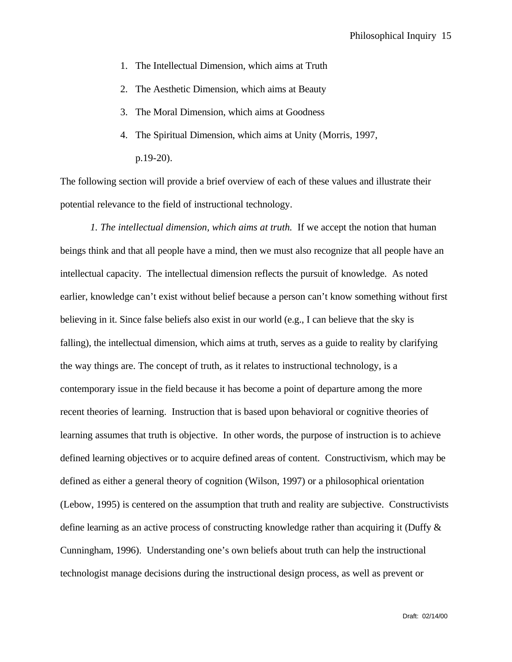- 1. The Intellectual Dimension, which aims at Truth
- 2. The Aesthetic Dimension, which aims at Beauty
- 3. The Moral Dimension, which aims at Goodness
- 4. The Spiritual Dimension, which aims at Unity (Morris, 1997, p.19-20).

The following section will provide a brief overview of each of these values and illustrate their potential relevance to the field of instructional technology.

*1. The intellectual dimension, which aims at truth.* If we accept the notion that human beings think and that all people have a mind, then we must also recognize that all people have an intellectual capacity. The intellectual dimension reflects the pursuit of knowledge. As noted earlier, knowledge can't exist without belief because a person can't know something without first believing in it. Since false beliefs also exist in our world (e.g., I can believe that the sky is falling), the intellectual dimension, which aims at truth, serves as a guide to reality by clarifying the way things are. The concept of truth, as it relates to instructional technology, is a contemporary issue in the field because it has become a point of departure among the more recent theories of learning. Instruction that is based upon behavioral or cognitive theories of learning assumes that truth is objective. In other words, the purpose of instruction is to achieve defined learning objectives or to acquire defined areas of content. Constructivism, which may be defined as either a general theory of cognition (Wilson, 1997) or a philosophical orientation (Lebow, 1995) is centered on the assumption that truth and reality are subjective. Constructivists define learning as an active process of constructing knowledge rather than acquiring it (Duffy & Cunningham, 1996). Understanding one's own beliefs about truth can help the instructional technologist manage decisions during the instructional design process, as well as prevent or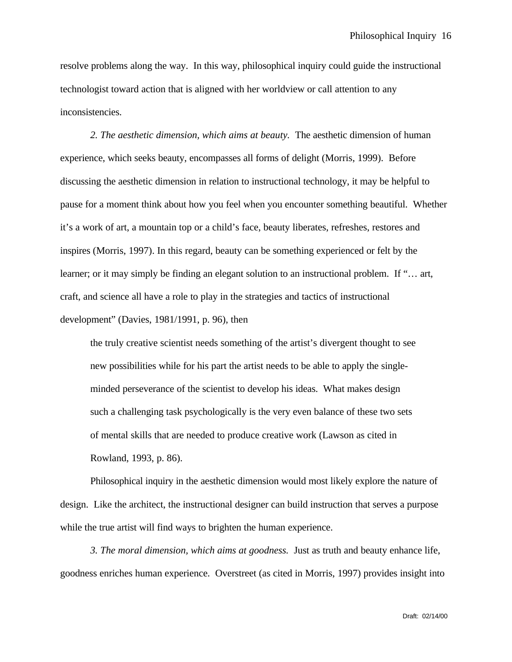resolve problems along the way. In this way, philosophical inquiry could guide the instructional technologist toward action that is aligned with her worldview or call attention to any inconsistencies.

*2. The aesthetic dimension, which aims at beauty.* The aesthetic dimension of human experience, which seeks beauty, encompasses all forms of delight (Morris, 1999). Before discussing the aesthetic dimension in relation to instructional technology, it may be helpful to pause for a moment think about how you feel when you encounter something beautiful. Whether it's a work of art, a mountain top or a child's face, beauty liberates, refreshes, restores and inspires (Morris, 1997). In this regard, beauty can be something experienced or felt by the learner; or it may simply be finding an elegant solution to an instructional problem. If "… art, craft, and science all have a role to play in the strategies and tactics of instructional development" (Davies, 1981/1991, p. 96), then

the truly creative scientist needs something of the artist's divergent thought to see new possibilities while for his part the artist needs to be able to apply the singleminded perseverance of the scientist to develop his ideas. What makes design such a challenging task psychologically is the very even balance of these two sets of mental skills that are needed to produce creative work (Lawson as cited in Rowland, 1993, p. 86).

Philosophical inquiry in the aesthetic dimension would most likely explore the nature of design. Like the architect, the instructional designer can build instruction that serves a purpose while the true artist will find ways to brighten the human experience.

*3. The moral dimension, which aims at goodness.* Just as truth and beauty enhance life, goodness enriches human experience. Overstreet (as cited in Morris, 1997) provides insight into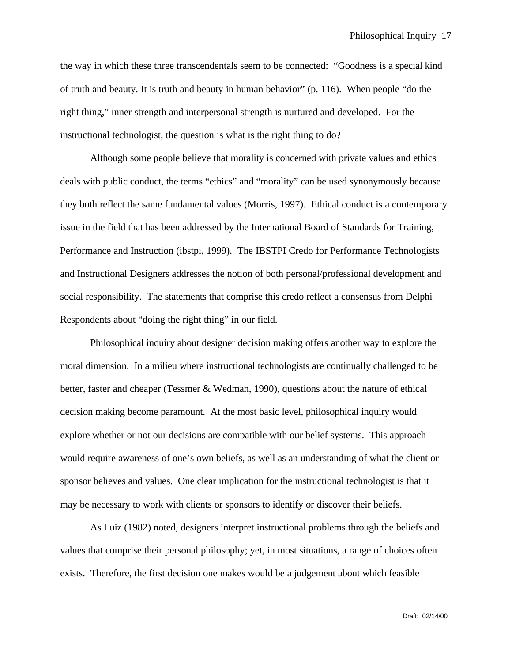the way in which these three transcendentals seem to be connected: "Goodness is a special kind of truth and beauty. It is truth and beauty in human behavior" (p. 116). When people "do the right thing," inner strength and interpersonal strength is nurtured and developed. For the instructional technologist, the question is what is the right thing to do?

Although some people believe that morality is concerned with private values and ethics deals with public conduct, the terms "ethics" and "morality" can be used synonymously because they both reflect the same fundamental values (Morris, 1997). Ethical conduct is a contemporary issue in the field that has been addressed by the International Board of Standards for Training, Performance and Instruction (ibstpi, 1999). The IBSTPI Credo for Performance Technologists and Instructional Designers addresses the notion of both personal/professional development and social responsibility. The statements that comprise this credo reflect a consensus from Delphi Respondents about "doing the right thing" in our field.

Philosophical inquiry about designer decision making offers another way to explore the moral dimension. In a milieu where instructional technologists are continually challenged to be better, faster and cheaper (Tessmer & Wedman, 1990), questions about the nature of ethical decision making become paramount. At the most basic level, philosophical inquiry would explore whether or not our decisions are compatible with our belief systems. This approach would require awareness of one's own beliefs, as well as an understanding of what the client or sponsor believes and values. One clear implication for the instructional technologist is that it may be necessary to work with clients or sponsors to identify or discover their beliefs.

As Luiz (1982) noted, designers interpret instructional problems through the beliefs and values that comprise their personal philosophy; yet, in most situations, a range of choices often exists. Therefore, the first decision one makes would be a judgement about which feasible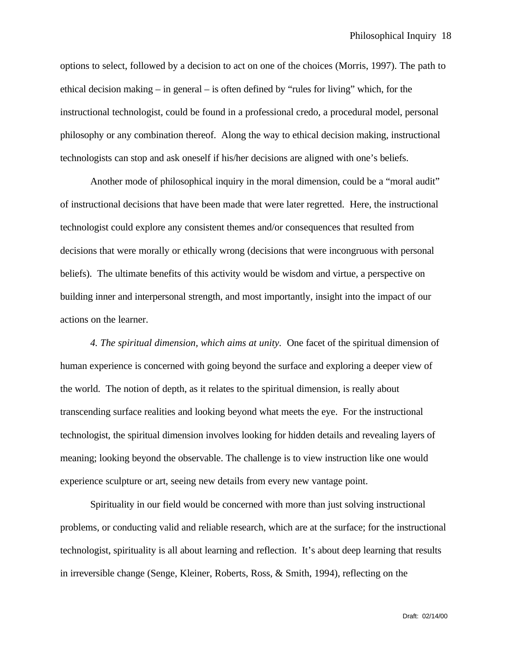options to select, followed by a decision to act on one of the choices (Morris, 1997). The path to ethical decision making – in general – is often defined by "rules for living" which, for the instructional technologist, could be found in a professional credo, a procedural model, personal philosophy or any combination thereof. Along the way to ethical decision making, instructional technologists can stop and ask oneself if his/her decisions are aligned with one's beliefs.

Another mode of philosophical inquiry in the moral dimension, could be a "moral audit" of instructional decisions that have been made that were later regretted. Here, the instructional technologist could explore any consistent themes and/or consequences that resulted from decisions that were morally or ethically wrong (decisions that were incongruous with personal beliefs). The ultimate benefits of this activity would be wisdom and virtue, a perspective on building inner and interpersonal strength, and most importantly, insight into the impact of our actions on the learner.

*4. The spiritual dimension, which aims at unity.* One facet of the spiritual dimension of human experience is concerned with going beyond the surface and exploring a deeper view of the world. The notion of depth, as it relates to the spiritual dimension, is really about transcending surface realities and looking beyond what meets the eye. For the instructional technologist, the spiritual dimension involves looking for hidden details and revealing layers of meaning; looking beyond the observable. The challenge is to view instruction like one would experience sculpture or art, seeing new details from every new vantage point.

Spirituality in our field would be concerned with more than just solving instructional problems, or conducting valid and reliable research, which are at the surface; for the instructional technologist, spirituality is all about learning and reflection. It's about deep learning that results in irreversible change (Senge, Kleiner, Roberts, Ross, & Smith, 1994), reflecting on the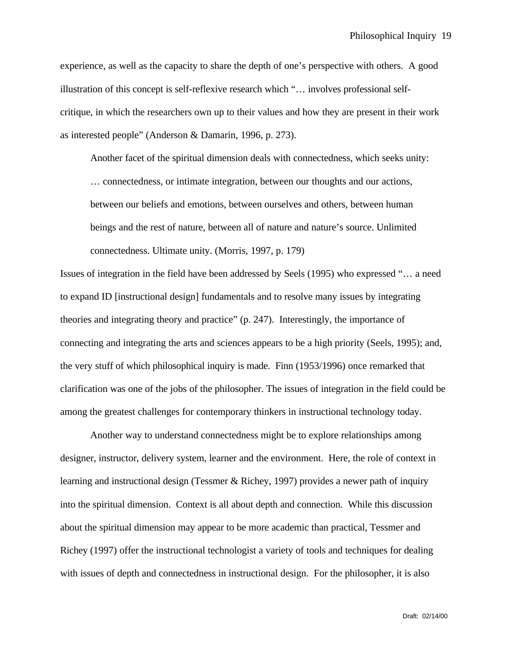experience, as well as the capacity to share the depth of one's perspective with others. A good illustration of this concept is self-reflexive research which "… involves professional selfcritique, in which the researchers own up to their values and how they are present in their work as interested people" (Anderson & Damarin, 1996, p. 273).

Another facet of the spiritual dimension deals with connectedness, which seeks unity: … connectedness, or intimate integration, between our thoughts and our actions, between our beliefs and emotions, between ourselves and others, between human beings and the rest of nature, between all of nature and nature's source. Unlimited connectedness. Ultimate unity. (Morris, 1997, p. 179)

Issues of integration in the field have been addressed by Seels (1995) who expressed "… a need to expand ID [instructional design] fundamentals and to resolve many issues by integrating theories and integrating theory and practice" (p. 247). Interestingly, the importance of connecting and integrating the arts and sciences appears to be a high priority (Seels, 1995); and, the very stuff of which philosophical inquiry is made. Finn (1953/1996) once remarked that clarification was one of the jobs of the philosopher. The issues of integration in the field could be among the greatest challenges for contemporary thinkers in instructional technology today.

Another way to understand connectedness might be to explore relationships among designer, instructor, delivery system, learner and the environment. Here, the role of context in learning and instructional design (Tessmer & Richey, 1997) provides a newer path of inquiry into the spiritual dimension. Context is all about depth and connection. While this discussion about the spiritual dimension may appear to be more academic than practical, Tessmer and Richey (1997) offer the instructional technologist a variety of tools and techniques for dealing with issues of depth and connectedness in instructional design. For the philosopher, it is also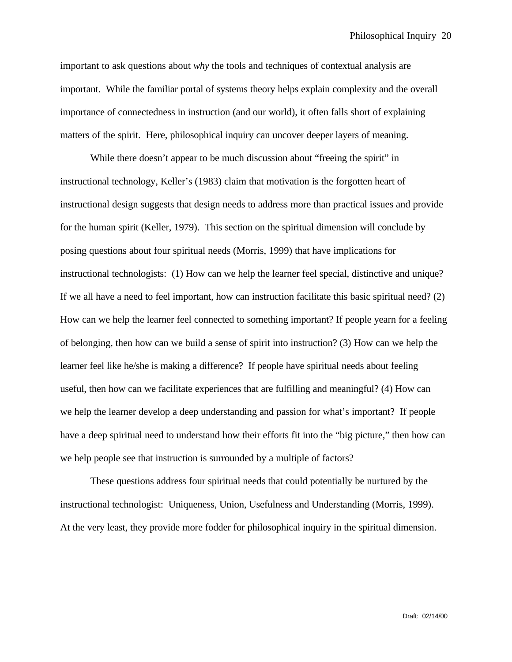important to ask questions about *why* the tools and techniques of contextual analysis are important. While the familiar portal of systems theory helps explain complexity and the overall importance of connectedness in instruction (and our world), it often falls short of explaining matters of the spirit. Here, philosophical inquiry can uncover deeper layers of meaning.

While there doesn't appear to be much discussion about "freeing the spirit" in instructional technology, Keller's (1983) claim that motivation is the forgotten heart of instructional design suggests that design needs to address more than practical issues and provide for the human spirit (Keller, 1979). This section on the spiritual dimension will conclude by posing questions about four spiritual needs (Morris, 1999) that have implications for instructional technologists: (1) How can we help the learner feel special, distinctive and unique? If we all have a need to feel important, how can instruction facilitate this basic spiritual need? (2) How can we help the learner feel connected to something important? If people yearn for a feeling of belonging, then how can we build a sense of spirit into instruction? (3) How can we help the learner feel like he/she is making a difference? If people have spiritual needs about feeling useful, then how can we facilitate experiences that are fulfilling and meaningful? (4) How can we help the learner develop a deep understanding and passion for what's important? If people have a deep spiritual need to understand how their efforts fit into the "big picture," then how can we help people see that instruction is surrounded by a multiple of factors?

These questions address four spiritual needs that could potentially be nurtured by the instructional technologist: Uniqueness, Union, Usefulness and Understanding (Morris, 1999). At the very least, they provide more fodder for philosophical inquiry in the spiritual dimension.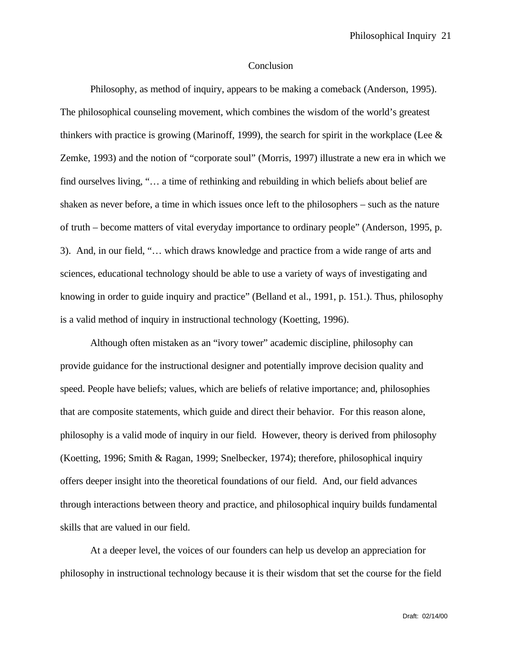### **Conclusion**

Philosophy, as method of inquiry, appears to be making a comeback (Anderson, 1995). The philosophical counseling movement, which combines the wisdom of the world's greatest thinkers with practice is growing (Marinoff, 1999), the search for spirit in the workplace (Lee  $\&$ Zemke, 1993) and the notion of "corporate soul" (Morris, 1997) illustrate a new era in which we find ourselves living, "... a time of rethinking and rebuilding in which beliefs about belief are shaken as never before, a time in which issues once left to the philosophers – such as the nature of truth – become matters of vital everyday importance to ordinary people" (Anderson, 1995, p. 3). And, in our field, "… which draws knowledge and practice from a wide range of arts and sciences, educational technology should be able to use a variety of ways of investigating and knowing in order to guide inquiry and practice" (Belland et al., 1991, p. 151.). Thus, philosophy is a valid method of inquiry in instructional technology (Koetting, 1996).

Although often mistaken as an "ivory tower" academic discipline, philosophy can provide guidance for the instructional designer and potentially improve decision quality and speed. People have beliefs; values, which are beliefs of relative importance; and, philosophies that are composite statements, which guide and direct their behavior. For this reason alone, philosophy is a valid mode of inquiry in our field. However, theory is derived from philosophy (Koetting, 1996; Smith & Ragan, 1999; Snelbecker, 1974); therefore, philosophical inquiry offers deeper insight into the theoretical foundations of our field. And, our field advances through interactions between theory and practice, and philosophical inquiry builds fundamental skills that are valued in our field.

At a deeper level, the voices of our founders can help us develop an appreciation for philosophy in instructional technology because it is their wisdom that set the course for the field

Draft: 02/14/00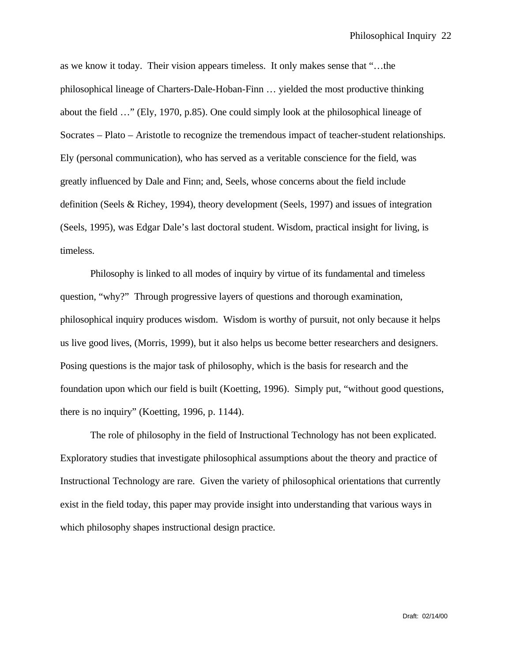as we know it today. Their vision appears timeless. It only makes sense that "…the philosophical lineage of Charters-Dale-Hoban-Finn … yielded the most productive thinking about the field …" (Ely, 1970, p.85). One could simply look at the philosophical lineage of Socrates – Plato – Aristotle to recognize the tremendous impact of teacher-student relationships. Ely (personal communication), who has served as a veritable conscience for the field, was greatly influenced by Dale and Finn; and, Seels, whose concerns about the field include definition (Seels & Richey, 1994), theory development (Seels, 1997) and issues of integration (Seels, 1995), was Edgar Dale's last doctoral student. Wisdom, practical insight for living, is timeless.

Philosophy is linked to all modes of inquiry by virtue of its fundamental and timeless question, "why?" Through progressive layers of questions and thorough examination, philosophical inquiry produces wisdom. Wisdom is worthy of pursuit, not only because it helps us live good lives, (Morris, 1999), but it also helps us become better researchers and designers. Posing questions is the major task of philosophy, which is the basis for research and the foundation upon which our field is built (Koetting, 1996). Simply put, "without good questions, there is no inquiry" (Koetting, 1996, p. 1144).

The role of philosophy in the field of Instructional Technology has not been explicated. Exploratory studies that investigate philosophical assumptions about the theory and practice of Instructional Technology are rare. Given the variety of philosophical orientations that currently exist in the field today, this paper may provide insight into understanding that various ways in which philosophy shapes instructional design practice.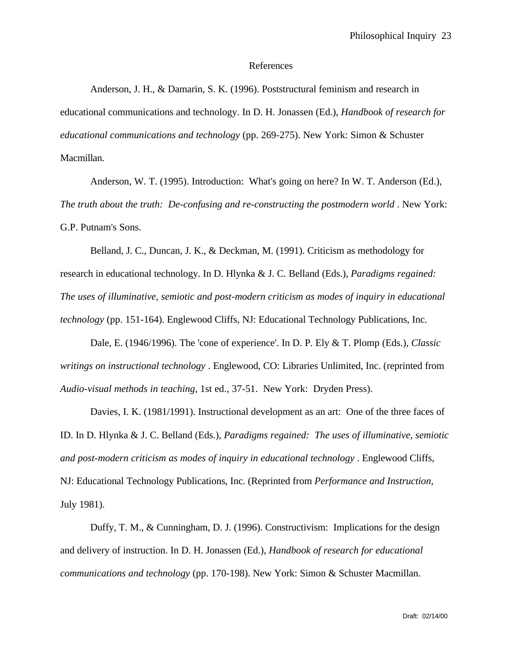### References

Anderson, J. H., & Damarin, S. K. (1996). Poststructural feminism and research in educational communications and technology. In D. H. Jonassen (Ed.), *Handbook of research for educational communications and technology* (pp. 269-275). New York: Simon & Schuster Macmillan.

Anderson, W. T. (1995). Introduction: What's going on here? In W. T. Anderson (Ed.), *The truth about the truth: De-confusing and re-constructing the postmodern world* . New York: G.P. Putnam's Sons.

Belland, J. C., Duncan, J. K., & Deckman, M. (1991). Criticism as methodology for research in educational technology. In D. Hlynka & J. C. Belland (Eds.), *Paradigms regained: The uses of illuminative, semiotic and post-modern criticism as modes of inquiry in educational technology* (pp. 151-164). Englewood Cliffs, NJ: Educational Technology Publications, Inc.

Dale, E. (1946/1996). The 'cone of experience'. In D. P. Ely & T. Plomp (Eds.), *Classic writings on instructional technology* . Englewood, CO: Libraries Unlimited, Inc. (reprinted from *Audio-visual methods in teaching,* 1st ed., 37-51. New York: Dryden Press).

Davies, I. K. (1981/1991). Instructional development as an art: One of the three faces of ID. In D. Hlynka & J. C. Belland (Eds.), *Paradigms regained: The uses of illuminative, semiotic and post-modern criticism as modes of inquiry in educational technology* . Englewood Cliffs, NJ: Educational Technology Publications, Inc. (Reprinted from *Performance and Instruction,*  July 1981).

Duffy, T. M., & Cunningham, D. J. (1996). Constructivism: Implications for the design and delivery of instruction. In D. H. Jonassen (Ed.), *Handbook of research for educational communications and technology* (pp. 170-198). New York: Simon & Schuster Macmillan.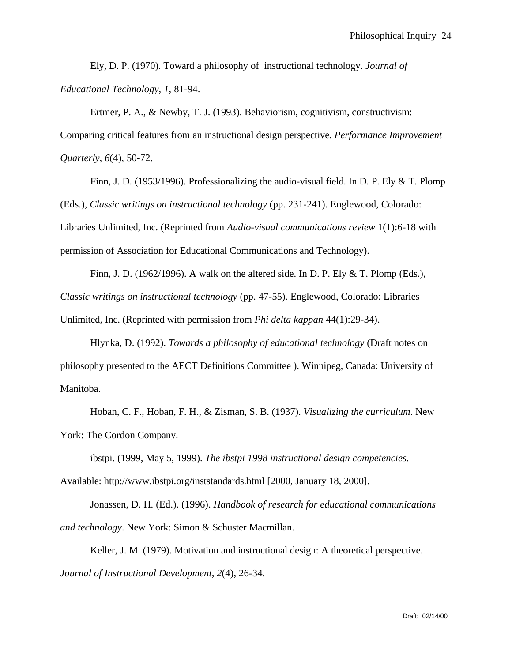Ely, D. P. (1970). Toward a philosophy of instructional technology. *Journal of Educational Technology, 1*, 81-94.

Ertmer, P. A., & Newby, T. J. (1993). Behaviorism, cognitivism, constructivism: Comparing critical features from an instructional design perspective. *Performance Improvement Quarterly, 6*(4), 50-72.

Finn, J. D. (1953/1996). Professionalizing the audio-visual field. In D. P. Ely & T. Plomp (Eds.), *Classic writings on instructional technology* (pp. 231-241). Englewood, Colorado: Libraries Unlimited, Inc. (Reprinted from *Audio-visual communications review* 1(1):6-18 with permission of Association for Educational Communications and Technology).

Finn, J. D. (1962/1996). A walk on the altered side. In D. P. Ely  $&$  T. Plomp (Eds.), *Classic writings on instructional technology* (pp. 47-55). Englewood, Colorado: Libraries Unlimited, Inc. (Reprinted with permission from *Phi delta kappan* 44(1):29-34).

Hlynka, D. (1992). *Towards a philosophy of educational technology* (Draft notes on philosophy presented to the AECT Definitions Committee ). Winnipeg, Canada: University of Manitoba.

Hoban, C. F., Hoban, F. H., & Zisman, S. B. (1937). *Visualizing the curriculum*. New York: The Cordon Company.

ibstpi. (1999, May 5, 1999). *The ibstpi 1998 instructional design competencies*. Available: http://www.ibstpi.org/inststandards.html [2000, January 18, 2000].

Jonassen, D. H. (Ed.). (1996). *Handbook of research for educational communications and technology*. New York: Simon & Schuster Macmillan.

Keller, J. M. (1979). Motivation and instructional design: A theoretical perspective. *Journal of Instructional Development, 2*(4), 26-34.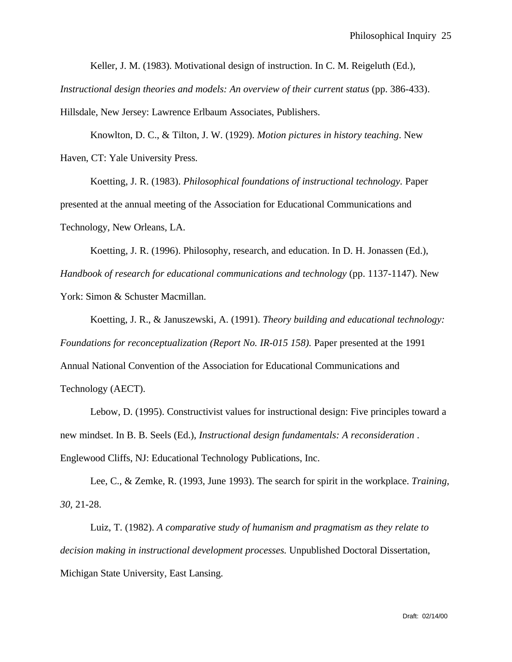Keller, J. M. (1983). Motivational design of instruction. In C. M. Reigeluth (Ed.),

*Instructional design theories and models: An overview of their current status* (pp. 386-433).

Hillsdale, New Jersey: Lawrence Erlbaum Associates, Publishers.

Knowlton, D. C., & Tilton, J. W. (1929). *Motion pictures in history teaching*. New Haven, CT: Yale University Press.

Koetting, J. R. (1983). *Philosophical foundations of instructional technology.* Paper presented at the annual meeting of the Association for Educational Communications and Technology, New Orleans, LA.

Koetting, J. R. (1996). Philosophy, research, and education. In D. H. Jonassen (Ed.), *Handbook of research for educational communications and technology* (pp. 1137-1147). New York: Simon & Schuster Macmillan.

Koetting, J. R., & Januszewski, A. (1991). *Theory building and educational technology: Foundations for reconceptualization (Report No. IR-015 158).* Paper presented at the 1991 Annual National Convention of the Association for Educational Communications and Technology (AECT).

Lebow, D. (1995). Constructivist values for instructional design: Five principles toward a new mindset. In B. B. Seels (Ed.), *Instructional design fundamentals: A reconsideration* . Englewood Cliffs, NJ: Educational Technology Publications, Inc.

Lee, C., & Zemke, R. (1993, June 1993). The search for spirit in the workplace. *Training, 30,* 21-28.

Luiz, T. (1982). *A comparative study of humanism and pragmatism as they relate to decision making in instructional development processes.* Unpublished Doctoral Dissertation, Michigan State University, East Lansing.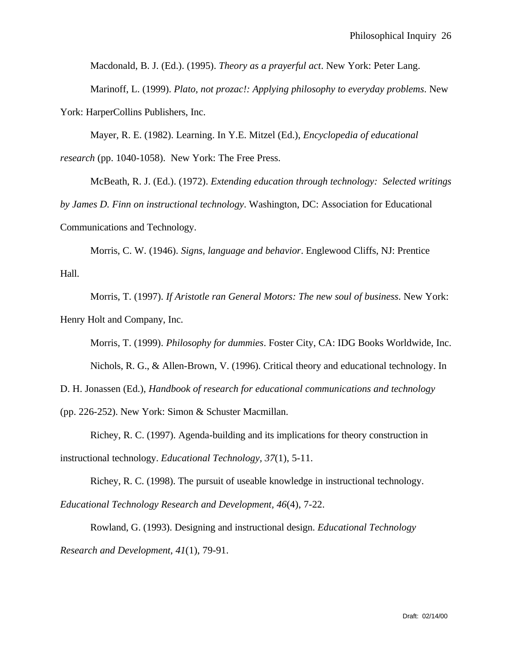Macdonald, B. J. (Ed.). (1995). *Theory as a prayerful act*. New York: Peter Lang.

Marinoff, L. (1999). *Plato, not prozac!: Applying philosophy to everyday problems*. New York: HarperCollins Publishers, Inc.

Mayer, R. E. (1982). Learning. In Y.E. Mitzel (Ed.), *Encyclopedia of educational research* (pp. 1040-1058). New York: The Free Press.

McBeath, R. J. (Ed.). (1972). *Extending education through technology: Selected writings by James D. Finn on instructional technology*. Washington, DC: Association for Educational Communications and Technology.

Morris, C. W. (1946). *Signs, language and behavior*. Englewood Cliffs, NJ: Prentice Hall.

Morris, T. (1997). *If Aristotle ran General Motors: The new soul of business*. New York: Henry Holt and Company, Inc.

Morris, T. (1999). *Philosophy for dummies*. Foster City, CA: IDG Books Worldwide, Inc. Nichols, R. G., & Allen-Brown, V. (1996). Critical theory and educational technology. In

D. H. Jonassen (Ed.), *Handbook of research for educational communications and technology*

(pp. 226-252). New York: Simon & Schuster Macmillan.

Richey, R. C. (1997). Agenda-building and its implications for theory construction in instructional technology. *Educational Technology, 37*(1), 5-11.

Richey, R. C. (1998). The pursuit of useable knowledge in instructional technology. *Educational Technology Research and Development, 46*(4), 7-22.

Rowland, G. (1993). Designing and instructional design. *Educational Technology Research and Development, 41*(1), 79-91.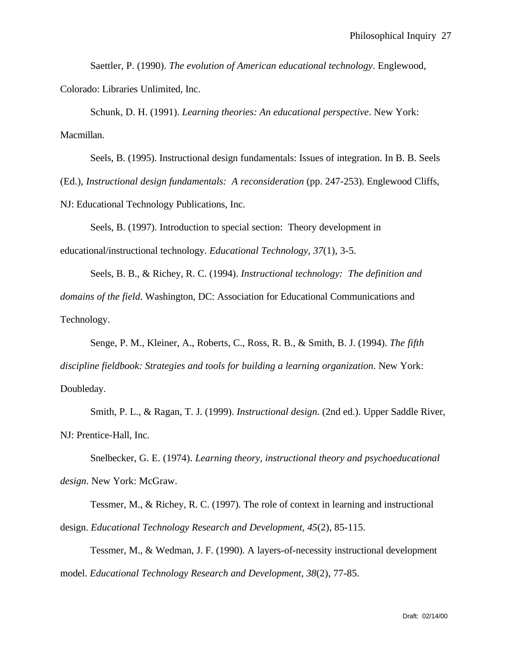Saettler, P. (1990). *The evolution of American educational technology*. Englewood, Colorado: Libraries Unlimited, Inc.

Schunk, D. H. (1991). *Learning theories: An educational perspective*. New York: Macmillan.

Seels, B. (1995). Instructional design fundamentals: Issues of integration. In B. B. Seels (Ed.), *Instructional design fundamentals: A reconsideration* (pp. 247-253). Englewood Cliffs,

NJ: Educational Technology Publications, Inc.

Seels, B. (1997). Introduction to special section: Theory development in educational/instructional technology. *Educational Technology, 37*(1), 3-5.

Seels, B. B., & Richey, R. C. (1994). *Instructional technology: The definition and domains of the field*. Washington, DC: Association for Educational Communications and Technology.

Senge, P. M., Kleiner, A., Roberts, C., Ross, R. B., & Smith, B. J. (1994). *The fifth discipline fieldbook: Strategies and tools for building a learning organization*. New York: Doubleday.

Smith, P. L., & Ragan, T. J. (1999). *Instructional design*. (2nd ed.). Upper Saddle River, NJ: Prentice-Hall, Inc.

Snelbecker, G. E. (1974). *Learning theory, instructional theory and psychoeducational design*. New York: McGraw.

Tessmer, M., & Richey, R. C. (1997). The role of context in learning and instructional design. *Educational Technology Research and Development, 45*(2), 85-115.

Tessmer, M., & Wedman, J. F. (1990). A layers-of-necessity instructional development model. *Educational Technology Research and Development, 38*(2), 77-85.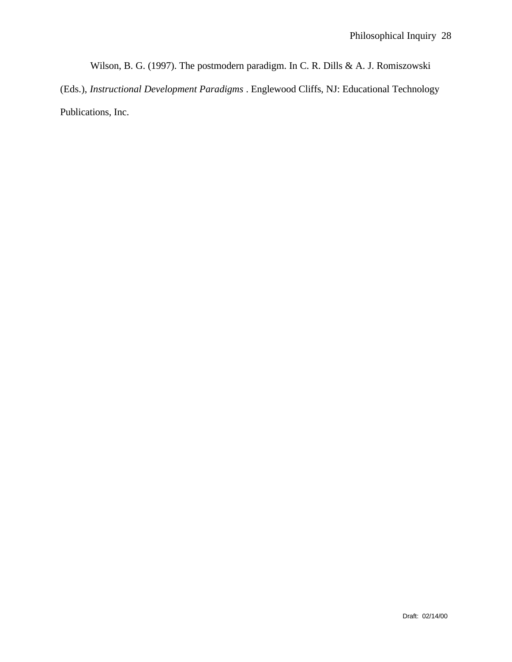Wilson, B. G. (1997). The postmodern paradigm. In C. R. Dills & A. J. Romiszowski (Eds.), *Instructional Development Paradigms* . Englewood Cliffs, NJ: Educational Technology Publications, Inc.